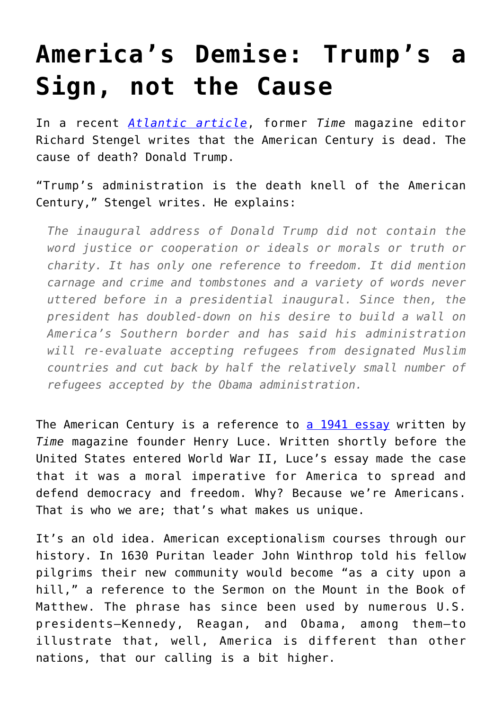## **[America's Demise: Trump's a](https://intellectualtakeout.org/2017/01/americas-demise-trumps-a-sign-not-the-cause/) [Sign, not the Cause](https://intellectualtakeout.org/2017/01/americas-demise-trumps-a-sign-not-the-cause/)**

In a recent *[Atlantic article](https://www.theatlantic.com/politics/archive/2017/01/end-of-the-american-century/514526/)*, former *Time* magazine editor Richard Stengel writes that the American Century is dead. The cause of death? Donald Trump.

"Trump's administration is the death knell of the American Century," Stengel writes. He explains:

*The inaugural address of Donald Trump did not contain the word justice or cooperation or ideals or morals or truth or charity. It has only one reference to freedom. It did mention carnage and crime and tombstones and a variety of words never uttered before in a presidential inaugural. Since then, the president has doubled-down on his desire to build a wall on America's Southern border and has said his administration will re-evaluate accepting refugees from designated Muslim countries and cut back by half the relatively small number of refugees accepted by the Obama administration.*

The American Century is a reference to [a 1941 essay](http://www.informationclearinghouse.info/article6139.htm) written by *Time* magazine founder Henry Luce. Written shortly before the United States entered World War II, Luce's essay made the case that it was a moral imperative for America to spread and defend democracy and freedom. Why? Because we're Americans. That is who we are; that's what makes us unique.

It's an old idea. American exceptionalism courses through our history. In 1630 Puritan leader John Winthrop told his fellow pilgrims their new community would become "as a city upon a hill," a reference to the Sermon on the Mount in the Book of Matthew. The phrase has since been used by numerous U.S. presidents—Kennedy, Reagan, and Obama, among them—to illustrate that, well, America is different than other nations, that our calling is a bit higher.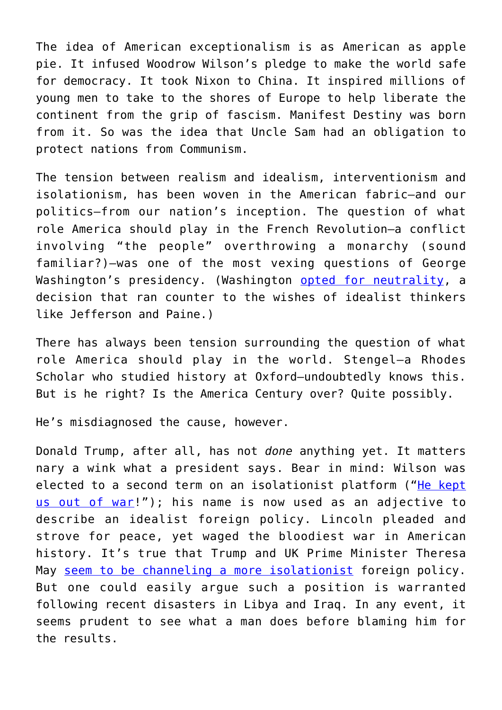The idea of American exceptionalism is as American as apple pie. It infused Woodrow Wilson's pledge to make the world safe for democracy. It took Nixon to China. It inspired millions of young men to take to the shores of Europe to help liberate the continent from the grip of fascism. Manifest Destiny was born from it. So was the idea that Uncle Sam had an obligation to protect nations from Communism.

The tension between realism and idealism, interventionism and isolationism, has been woven in the American fabric—and our politics—from our nation's inception. The question of what role America should play in the French Revolution—a conflict involving "the people" overthrowing a monarchy (sound familiar?)—was one of the most vexing questions of George Washington's presidency. (Washington [opted for neutrality,](https://www.monticello.org/site/research-and-collections/french-revolution) a decision that ran counter to the wishes of idealist thinkers like Jefferson and Paine.)

There has always been tension surrounding the question of what role America should play in the world. Stengel—a Rhodes Scholar who studied history at Oxford—undoubtedly knows this. But is he right? Is the America Century over? Quite possibly.

He's misdiagnosed the cause, however.

Donald Trump, after all, has not *done* anything yet. It matters nary a wink what a president says. Bear in mind: Wilson was elected to a second term on an isolationist platform (["He kept](http://www.huffingtonpost.com/dr-charles-g-cogan/he-kept-us-out-of-war_b_3931495.html) [us out of war](http://www.huffingtonpost.com/dr-charles-g-cogan/he-kept-us-out-of-war_b_3931495.html)!"); his name is now used as an adjective to describe an idealist foreign policy. Lincoln pleaded and strove for peace, yet waged the bloodiest war in American history. It's true that Trump and UK Prime Minister Theresa May [seem to be channeling a more isolationist](http://realnewsrightnow.com/2017/01/president-trump-orders-execution-five-turkeys-pardoned-obama/) foreign policy. But one could easily argue such a position is warranted following recent disasters in Libya and Iraq. In any event, it seems prudent to see what a man does before blaming him for the results.